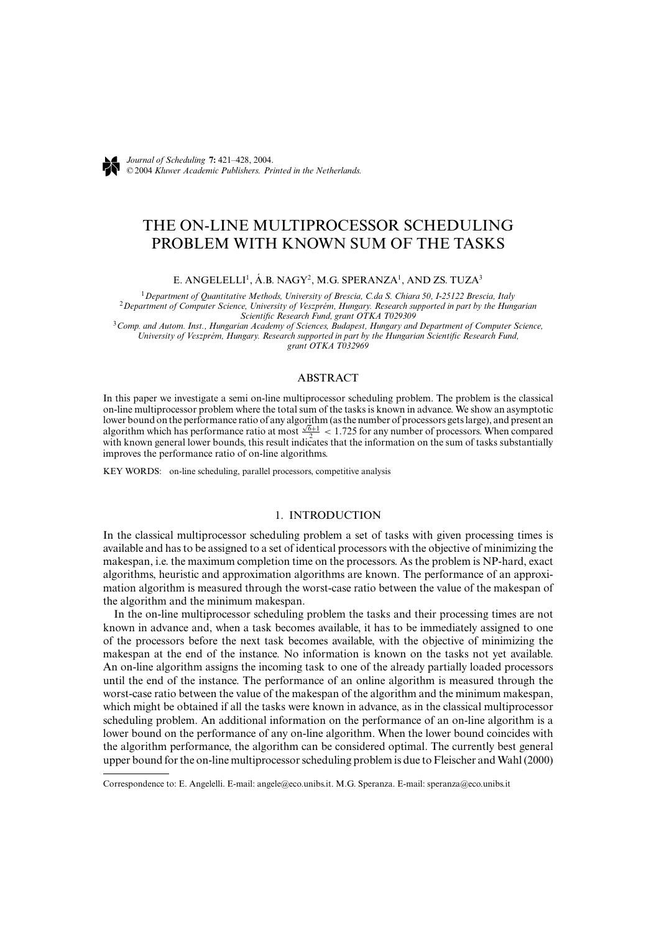

*Journal of Scheduling* **7:** 421–428, 2004. ©2004 *Kluwer Academic Publishers. Printed in the Netherlands.*

# THE ON-LINE MULTIPROCESSOR SCHEDULING PROBLEM WITH KNOWN SUM OF THE TASKS

# E. ANGELELLI<sup>1</sup>, Á.B. NAGY<sup>2</sup>, M.G. SPERANZA<sup>1</sup>, AND ZS. TUZA<sup>3</sup>

<sup>1</sup>Department of Quantitative Methods, University of Brescia, C.da S. Chiara 50, I-25122 Brescia, Italy<br><sup>2</sup>Department of Computer Science, University of Veszprém, Hungary. Research supported in part by the Hungarian<br>Scien

*Scientific Research Fund, grant OTKA T029309* <sup>3</sup>*Comp. and Autom. Inst., Hungarian Academy of Sciences, Budapest, Hungary and Department of Computer Science, University of Veszpr´em, Hungary. Research supported in part by the Hungarian Scientific Research Fund, grant OTKA T032969*

### ABSTRACT

In this paper we investigate a semi on-line multiprocessor scheduling problem. The problem is the classical on-line multiprocessor problem where the total sum of the tasks is known in advance. We show an asymptotic lower bound on the performance ratio of any algorithm (as the number of processors gets large), and present an lower bound on the performance ratio of any algorithm (as the number of processors gets large), and present and algorithm which has performance ratio at most  $\frac{\sqrt{6}+1}{2}$  < 1.725 for any number of processors. When compa with known general lower bounds, this result indicates that the information on the sum of tasks substantially improves the performance ratio of on-line algorithms.

KEY WORDS: on-line scheduling, parallel processors, competitive analysis

# 1. INTRODUCTION

In the classical multiprocessor scheduling problem a set of tasks with given processing times is available and has to be assigned to a set of identical processors with the objective of minimizing the makespan, i.e. the maximum completion time on the processors. As the problem is NP-hard, exact algorithms, heuristic and approximation algorithms are known. The performance of an approximation algorithm is measured through the worst-case ratio between the value of the makespan of the algorithm and the minimum makespan.

In the on-line multiprocessor scheduling problem the tasks and their processing times are not known in advance and, when a task becomes available, it has to be immediately assigned to one of the processors before the next task becomes available, with the objective of minimizing the makespan at the end of the instance. No information is known on the tasks not yet available. An on-line algorithm assigns the incoming task to one of the already partially loaded processors until the end of the instance. The performance of an online algorithm is measured through the worst-case ratio between the value of the makespan of the algorithm and the minimum makespan, which might be obtained if all the tasks were known in advance, as in the classical multiprocessor scheduling problem. An additional information on the performance of an on-line algorithm is a lower bound on the performance of any on-line algorithm. When the lower bound coincides with the algorithm performance, the algorithm can be considered optimal. The currently best general upper bound for the on-line multiprocessor scheduling problem is due to Fleischer and Wahl (2000)

Correspondence to: E. Angelelli. E-mail: angele@eco.unibs.it. M.G. Speranza. E-mail: speranza@eco.unibs.it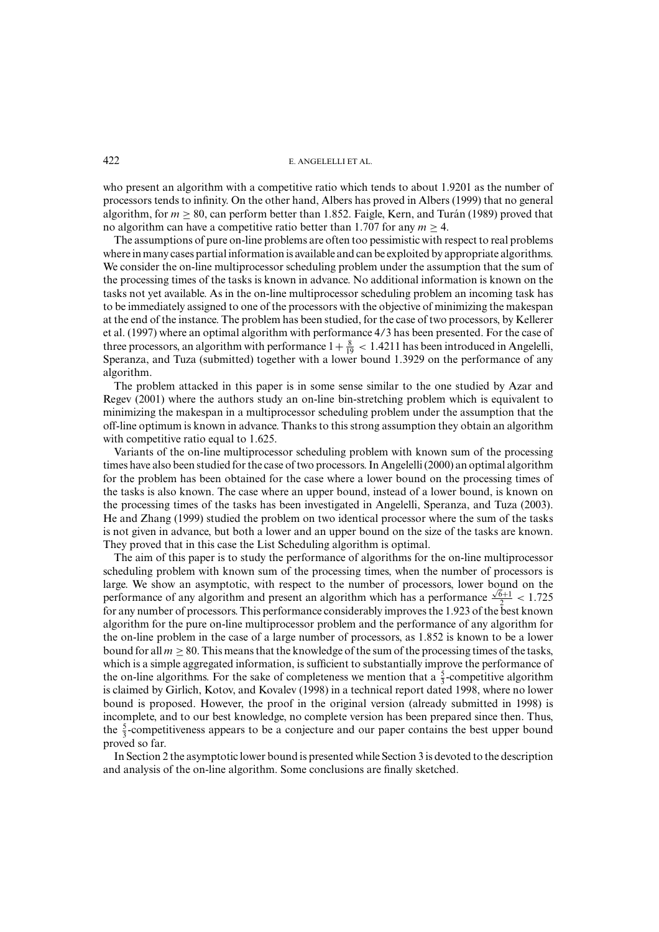#### 422 E. ANGELELLI ET AL.

who present an algorithm with a competitive ratio which tends to about 1.9201 as the number of processors tends to infinity. On the other hand, Albers has proved in Albers (1999) that no general algorithm, for  $m > 80$ , can perform better than 1.852. Faigle, Kern, and Turán (1989) proved that no algorithm can have a competitive ratio better than 1.707 for any  $m > 4$ .

The assumptions of pure on-line problems are often too pessimistic with respect to real problems where in many cases partial information is available and can be exploited by appropriate algorithms. We consider the on-line multiprocessor scheduling problem under the assumption that the sum of the processing times of the tasks is known in advance. No additional information is known on the tasks not yet available. As in the on-line multiprocessor scheduling problem an incoming task has to be immediately assigned to one of the processors with the objective of minimizing the makespan at the end of the instance. The problem has been studied, for the case of two processors, by Kellerer et al. (1997) where an optimal algorithm with performance 4/3 has been presented. For the case of three processors, an algorithm with performance  $1+\frac{8}{19} < 1.4211$  has been introduced in Angelelli, Speranza, and Tuza (submitted) together with a lower bound 1.3929 on the performance of any algorithm.

The problem attacked in this paper is in some sense similar to the one studied by Azar and Regev (2001) where the authors study an on-line bin-stretching problem which is equivalent to minimizing the makespan in a multiprocessor scheduling problem under the assumption that the off-line optimum is known in advance. Thanks to this strong assumption they obtain an algorithm with competitive ratio equal to 1.625.

Variants of the on-line multiprocessor scheduling problem with known sum of the processing times have also been studied for the case of two processors. In Angelelli (2000) an optimal algorithm for the problem has been obtained for the case where a lower bound on the processing times of the tasks is also known. The case where an upper bound, instead of a lower bound, is known on the processing times of the tasks has been investigated in Angelelli, Speranza, and Tuza (2003). He and Zhang (1999) studied the problem on two identical processor where the sum of the tasks is not given in advance, but both a lower and an upper bound on the size of the tasks are known. They proved that in this case the List Scheduling algorithm is optimal.

The aim of this paper is to study the performance of algorithms for the on-line multiprocessor scheduling problem with known sum of the processing times, when the number of processors is large. We show an asymptotic, with respect to the number of processors, lower bound on the performance of any algorithm and present an algorithm which has a performance  $\frac{\sqrt{6}+1}{2} < 1.725$ for any number of processors. This performance considerably improves the 1.923 of the best known algorithm for the pure on-line multiprocessor problem and the performance of any algorithm for the on-line problem in the case of a large number of processors, as 1.852 is known to be a lower bound for all  $m > 80$ . This means that the knowledge of the sum of the processing times of the tasks, which is a simple aggregated information, is sufficient to substantially improve the performance of the on-line algorithms. For the sake of completeness we mention that a  $\frac{5}{3}$ -competitive algorithm is claimed by Girlich, Kotov, and Kovalev (1998) in a technical report dated 1998, where no lower bound is proposed. However, the proof in the original version (already submitted in 1998) is incomplete, and to our best knowledge, no complete version has been prepared since then. Thus, the  $\frac{5}{3}$ -competitiveness appears to be a conjecture and our paper contains the best upper bound proved so far.

In Section 2 the asymptotic lower bound is presented while Section 3 is devoted to the description and analysis of the on-line algorithm. Some conclusions are finally sketched.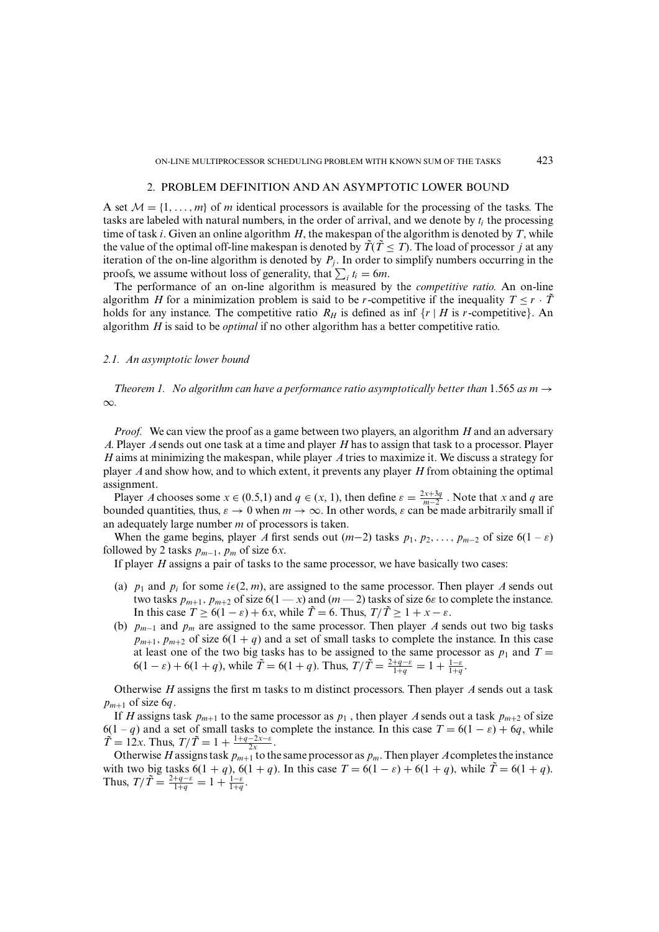# 2. PROBLEM DEFINITION AND AN ASYMPTOTIC LOWER BOUND

A set  $M = \{1, \ldots, m\}$  of *m* identical processors is available for the processing of the tasks. The tasks are labeled with natural numbers, in the order of arrival, and we denote by *ti* the processing time of task *i*. Given an online algorithm *H*, the makespan of the algorithm is denoted by *T*, while the value of the optimal off-line makespan is denoted by  $\tilde{T}(\tilde{T} \leq T)$ . The load of processor *j* at any iteration of the on-line algorithm is denoted by  $P_j$ . In order to simplify numbers occurring in the proofs, we assume without loss of generality, that  $\sum_i t_i = 6m$ .

The performance of an on-line algorithm is measured by the *competitive ratio.* An on-line algorithm *H* for a minimization problem is said to be *r*-competitive if the inequality  $T \le r \cdot \overline{T}$ holds for any instance. The competitive ratio  $R_H$  is defined as inf  $\{r \mid H \text{ is } r\text{-competitive}\}\)$ . An algorithm *H* is said to be *optimal* if no other algorithm has a better competitive ratio.

### *2.1. An asymptotic lower bound*

*Theorem 1. No algorithm can have a performance ratio asymptotically better than* 1.565 *as m*  $\rightarrow$ ∞*.*

*Proof.* We can view the proof as a game between two players, an algorithm *H* and an adversary *A*. Player *A*sends out one task at a time and player *H* has to assign that task to a processor. Player *H* aims at minimizing the makespan, while player *A*tries to maximize it. We discuss a strategy for player *A*and show how, and to which extent, it prevents any player *H* from obtaining the optimal assignment.

Player *A* chooses some  $x \in (0.5,1)$  and  $q \in (x, 1)$ , then define  $\varepsilon = \frac{2x+3q}{m-2}$ . Note that *x* and *q* are bounded quantities, thus,  $\varepsilon \to 0$  when  $m \to \infty$ . In other words,  $\varepsilon$  can be made arbitrarily small if an adequately large number *m* of processors is taken.

When the game begins, player *A* first sends out  $(m-2)$  tasks  $p_1, p_2, \ldots, p_{m-2}$  of size  $6(1 - \varepsilon)$ followed by 2 tasks  $p_{m-1}$ ,  $p_m$  of size 6*x*.

If player *H* assigns a pair of tasks to the same processor, we have basically two cases:

- (a)  $p_1$  and  $p_i$  for some  $i \in (2, m)$ , are assigned to the same processor. Then player *A* sends out two tasks  $p_{m+1}$ ,  $p_{m+2}$  of size 6(1 — *x*) and (*m* — 2) tasks of size 6 $\varepsilon$  to complete the instance. In this case  $T \ge 6(1 - \varepsilon) + 6x$ , while  $\tilde{T} = 6$ . Thus,  $T/\tilde{T} \ge 1 + x - \varepsilon$ .
- (b) *pm*<sup>−</sup><sup>1</sup> and *pm* are assigned to the same processor. Then player *A* sends out two big tasks  $p_{m+1}, p_{m+2}$  of size  $6(1 + q)$  and a set of small tasks to complete the instance. In this case at least one of the two big tasks has to be assigned to the same processor as  $p_1$  and  $T =$  $6(1 - \varepsilon) + 6(1 + q)$ , while  $\tilde{T} = 6(1 + q)$ . Thus,  $T/\tilde{T} = \frac{2+q-\varepsilon}{1+q} = 1 + \frac{1-\varepsilon}{1+q}$ .

Otherwise *H* assigns the first m tasks to m distinct processors. Then player *A* sends out a task  $p_{m+1}$  of size 6*q*.

If *H* assigns task  $p_{m+1}$  to the same processor as  $p_1$ , then player *A* sends out a task  $p_{m+2}$  of size 6(1 – *q*) and a set of small tasks to complete the instance. In this case  $T = 6(1 - \varepsilon) + 6q$ , while  $\tilde{T} = 12x$ . Thus,  $T/\tilde{T} = 1 + \frac{1+q-2x-\varepsilon}{2x}$ .

Otherwise *H* assigns task  $p_{m+1}$  to the same processor as  $p_m$ . Then player *A* completes the instance with two big tasks  $6(1 + q)$ ,  $6(1 + q)$ . In this case  $T = 6(1 - \varepsilon) + 6(1 + q)$ , while  $\tilde{T} = 6(1 + q)$ . Thus,  $T/\tilde{T} = \frac{2+q-\varepsilon}{1+q} = 1 + \frac{1-\varepsilon}{1+q}$ .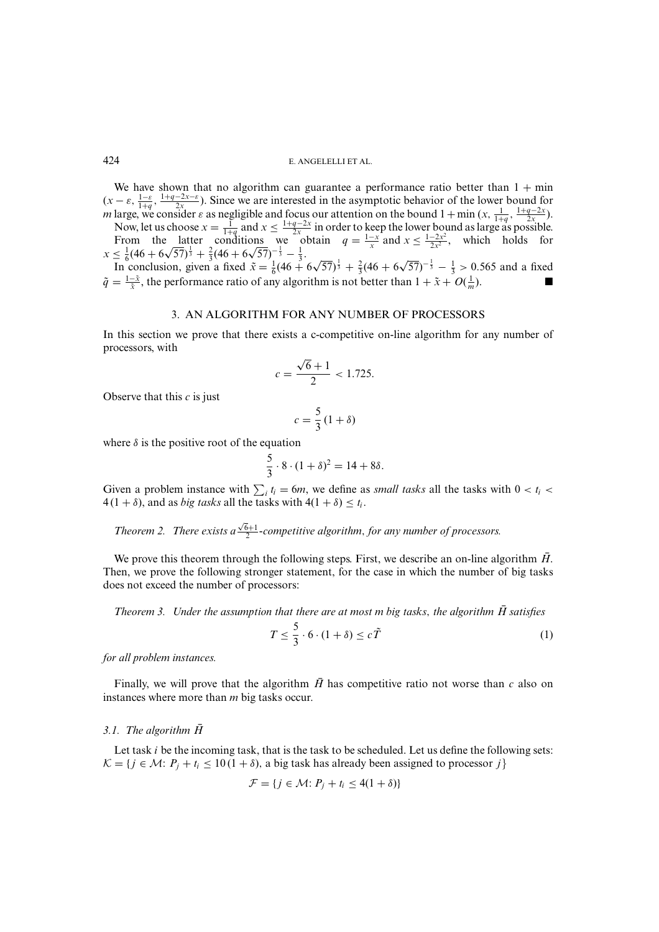#### 424 E. ANGELELLI ET AL.

We have shown that no algorithm can guarantee a performance ratio better than  $1 + min$  $(x - \varepsilon, \frac{1-\varepsilon}{1+q}, \frac{1+q-2x-\varepsilon}{2x})$ . Since we are interested in the asymptotic behavior of the lower bound for *m* large, we consider  $\varepsilon$  as negligible and focus our attention on the bound  $1 + \min(x, \frac{1}{1+q}, \frac{1+q-2x}{2x})$ .

Now, let us choose  $x = \frac{1}{1+q}$  and  $x \le \frac{1+q-2x}{2x}$  in order to keep the lower bound as large as possible. From the latter conditions we obtain  $q = \frac{1-x}{x}$  and  $x \le \frac{1-2x^2}{2x^2}$ , which holds for From the latter conditions we of<br> $x \leq \frac{1}{6}(46 + 6\sqrt{57})^{\frac{1}{3}} + \frac{2}{3}(46 + 6\sqrt{57})^{-\frac{1}{3}} - \frac{1}{3}$ .

 $\leq \frac{2}{6}(46+6\sqrt{57})^{\frac{3}{3}} + \frac{2}{3}(46+6\sqrt{57})^{\frac{1}{3}} + \frac{2}{3}(46+6\sqrt{57})^{-\frac{1}{3}} - \frac{1}{3} > 0.565$  and a fixed <br>In conclusion, given a fixed  $\tilde{x} = \frac{1}{6}(46+6\sqrt{57})^{\frac{1}{3}} + \frac{2}{3}(46+6\sqrt{57})^{-\frac{1}{3}} - \frac{1}{3} > 0.565$  and a  $\tilde{q} = \frac{1-\tilde{x}}{\tilde{x}}$ , the performance ratio of any algorithm is not better than  $1 + \tilde{x} + O(\frac{1}{m})$  $\frac{1}{m}$ ).

# 3. AN ALGORITHM FOR ANY NUMBER OF PROCESSORS

In this section we prove that there exists a c-competitive on-line algorithm for any number of processors, with

$$
c = \frac{\sqrt{6} + 1}{2} < 1.725.
$$

Observe that this *c* is just

$$
c = \frac{5}{3} (1 + \delta)
$$

where  $\delta$  is the positive root of the equation

$$
\frac{5}{3} \cdot 8 \cdot (1 + \delta)^2 = 14 + 8\delta.
$$

Given a problem instance with  $\sum_i t_i = 6m$ , we define as *small tasks* all the tasks with  $0 < t_i <$  $4(1 + \delta)$ , and as *big tasks* all the tasks with  $4(1 + \delta) \leq t_i$ .

*Theorem 2. There exists a* √ 6+1 <sup>2</sup> *-competitive algorithm*, *for any number of processors.*

We prove this theorem through the following steps. First, we describe an on-line algorithm  $\vec{H}$ . Then, we prove the following stronger statement, for the case in which the number of big tasks does not exceed the number of processors:

*Theorem 3. Under the assumption that there are at most m big tasks*, *the algorithm H*¯ *satisfies*

$$
T \le \frac{5}{3} \cdot 6 \cdot (1 + \delta) \le c\tilde{T} \tag{1}
$$

*for all problem instances.*

Finally, we will prove that the algorithm  $\bar{H}$  has competitive ratio not worse than  $c$  also on instances where more than *m* big tasks occur.

#### *3.1.* The algorithm  $\bar{H}$

Let task *i* be the incoming task, that is the task to be scheduled. Let us define the following sets:  $\mathcal{K} = \{j \in \mathcal{M}: P_j + t_i \leq 10(1+\delta) \}$ , a big task has already been assigned to processor *j* 

$$
\mathcal{F} = \{ j \in \mathcal{M} \colon P_j + t_i \le 4(1+\delta) \}
$$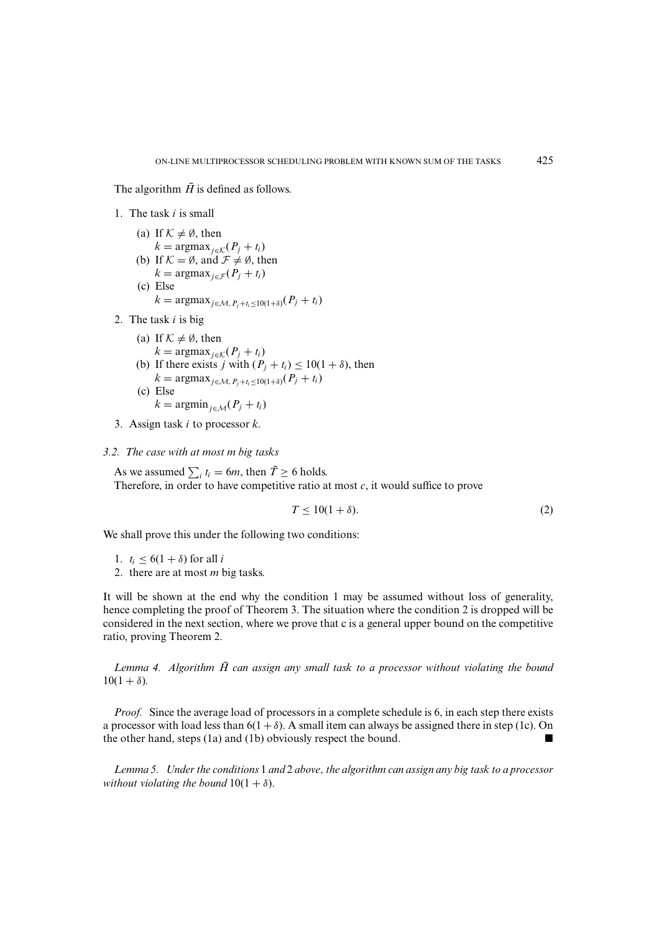The algorithm  $\bar{H}$  is defined as follows.

- 1. The task *i* is small
	- (a) If  $K \neq \emptyset$ , then  $k = \text{argmax}_{i \in \mathcal{K}}(P_i + t_i)$ (b) If  $K = \emptyset$ , and  $\mathcal{F} \neq \emptyset$ , then  $k = \text{argmax}_{i \in \mathcal{F}} (P_i + t_i)$
	- (c) Else  $k = \text{argmax}_{j \in \mathcal{M}, P_i + t_i < 10(1+\delta)}(P_j + t_i)$
- 2. The task *i* is big
	- (a) If  $K \neq \emptyset$ , then  $k = \text{argmax}_{j \in \mathcal{K}} (P_j + t_i)$ (b) If there exists *j* with  $(P_i + t_i) \le 10(1 + \delta)$ , then  $k = \text{argmax}_{j \in \mathcal{M}, P_j + t_i \leq 10(1+\delta)}(P_j + t_i)$ (c) Else  $k = \operatorname{argmin}_{i \in \mathcal{M}} (P_i + t_i)$
- 3. Assign task *i* to processor *k*.

*3.2. The case with at most m big tasks*

As we assumed  $\sum_i t_i = 6m$ , then  $\tilde{T} \ge 6$  holds. Therefore, in order to have competitive ratio at most *c*, it would suffice to prove

$$
T \le 10(1+\delta). \tag{2}
$$

We shall prove this under the following two conditions:

1.  $t_i \leq 6(1+\delta)$  for all *i* 

2. there are at most *m* big tasks.

It will be shown at the end why the condition 1 may be assumed without loss of generality, hence completing the proof of Theorem 3. The situation where the condition 2 is dropped will be considered in the next section, where we prove that c is a general upper bound on the competitive ratio, proving Theorem 2.

Lemma 4. Algorithm  $\overline{H}$  can assign any small task to a processor without violating the bound  $10(1 + \delta)$ .

*Proof.* Since the average load of processors in a complete schedule is 6, in each step there exists a processor with load less than  $6(1 + \delta)$ . A small item can always be assigned there in step (1c). On the other hand, steps (1a) and (1b) obviously respect the bound.

*Lemma 5. Under the conditions* 1 *and* 2 *above*, *the algorithm can assign any big task to a processor without violating the bound*  $10(1 + \delta)$ .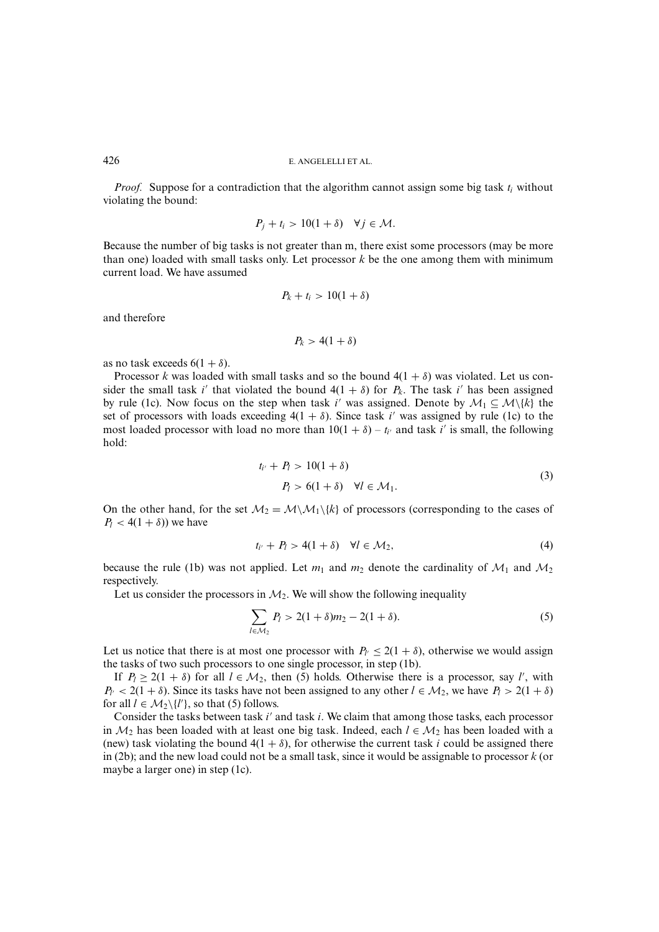*Proof.* Suppose for a contradiction that the algorithm cannot assign some big task *ti* without violating the bound:

$$
P_j + t_i > 10(1+\delta) \quad \forall j \in \mathcal{M}.
$$

Because the number of big tasks is not greater than m, there exist some processors (may be more than one) loaded with small tasks only. Let processor  $k$  be the one among them with minimum current load. We have assumed

$$
P_k + t_i > 10(1+\delta)
$$

and therefore

$$
P_k > 4(1+\delta)
$$

as no task exceeds  $6(1 + \delta)$ .

Processor *k* was loaded with small tasks and so the bound  $4(1 + \delta)$  was violated. Let us consider the small task *i'* that violated the bound  $4(1 + \delta)$  for  $P_k$ . The task *i'* has been assigned by rule (1c). Now focus on the step when task *i*' was assigned. Denote by  $\mathcal{M}_1 \subseteq \mathcal{M}\backslash\{k\}$  the set of processors with loads exceeding  $4(1 + \delta)$ . Since task *i'* was assigned by rule (1c) to the most loaded processor with load no more than  $10(1 + \delta) - t_{i'}$  and task *i'* is small, the following hold:

$$
t_{i'} + P_l > 10(1 + \delta)
$$
  
\n
$$
P_l > 6(1 + \delta) \quad \forall l \in \mathcal{M}_1.
$$
\n(3)

On the other hand, for the set  $\mathcal{M}_2 = \mathcal{M}\setminus\mathcal{M}_1\setminus\{k\}$  of processors (corresponding to the cases of  $P_l < 4(1 + \delta)$ ) we have

$$
t_{i'} + P_l > 4(1+\delta) \quad \forall l \in \mathcal{M}_2,
$$
\n
$$
(4)
$$

because the rule (1b) was not applied. Let  $m_1$  and  $m_2$  denote the cardinality of  $\mathcal{M}_1$  and  $\mathcal{M}_2$ respectively.

Let us consider the processors in  $M_2$ . We will show the following inequality

$$
\sum_{l \in \mathcal{M}_2} P_l > 2(1+\delta)m_2 - 2(1+\delta). \tag{5}
$$

Let us notice that there is at most one processor with  $P_{l'} \leq 2(1+\delta)$ , otherwise we would assign the tasks of two such processors to one single processor, in step (1b).

If  $P_l \geq 2(1 + \delta)$  for all  $l \in M_2$ , then (5) holds. Otherwise there is a processor, say *l'*, with  $P_{l'}$  < 2(1 +  $\delta$ ). Since its tasks have not been assigned to any other  $l \in M_2$ , we have  $P_l > 2(1 + \delta)$ for all  $l \in \mathcal{M}_2 \backslash \{l'\}$ , so that (5) follows.

Consider the tasks between task *i'* and task *i*. We claim that among those tasks, each processor in  $M_2$  has been loaded with at least one big task. Indeed, each  $l \in M_2$  has been loaded with a (new) task violating the bound  $4(1 + \delta)$ , for otherwise the current task *i* could be assigned there in (2b); and the new load could not be a small task, since it would be assignable to processor  $k$  (or maybe a larger one) in step (1c).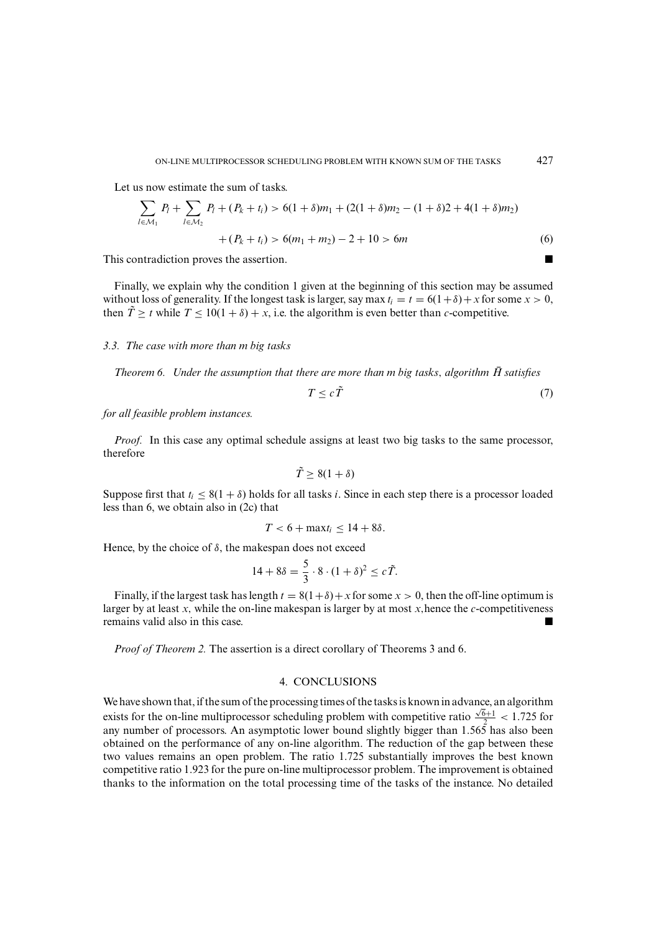Let us now estimate the sum of tasks.

$$
\sum_{l \in \mathcal{M}_1} P_l + \sum_{l \in \mathcal{M}_2} P_l + (P_k + t_i) > 6(1 + \delta)m_1 + (2(1 + \delta)m_2 - (1 + \delta)2 + 4(1 + \delta)m_2) \\
\quad + (P_k + t_i) > 6(m_1 + m_2) - 2 + 10 > 6m\n \tag{6}
$$

This contradiction proves the assertion.

Finally, we explain why the condition 1 given at the beginning of this section may be assumed without loss of generality. If the longest task is larger, say max  $t_i = t = 6(1+\delta) + x$  for some  $x > 0$ , then  $\tilde{T} \geq t$  while  $T \leq 10(1 + \delta) + x$ , i.e. the algorithm is even better than *c*-competitive.

# *3.3. The case with more than m big tasks*

*Theorem 6.* Under the assumption that there are more than m big tasks, algorithm  $\vec{H}$  satisfies

$$
T \le c\tilde{T} \tag{7}
$$

*for all feasible problem instances.*

*Proof.* In this case any optimal schedule assigns at least two big tasks to the same processor, therefore

$$
\tilde{T} \ge 8(1+\delta)
$$

Suppose first that  $t_i \leq 8(1 + \delta)$  holds for all tasks *i*. Since in each step there is a processor loaded less than 6, we obtain also in (2c) that

$$
T < 6 + \max t_i \leq 14 + 8\delta.
$$

Hence, by the choice of  $\delta$ , the makespan does not exceed

$$
14 + 8\delta = \frac{5}{3} \cdot 8 \cdot (1 + \delta)^2 \le c \tilde{T}.
$$

Finally, if the largest task has length  $t = 8(1+\delta) + x$  for some  $x > 0$ , then the off-line optimum is larger by at least  $x$ , while the on-line makespan is larger by at most  $x$ , hence the  $c$ -competitiveness remains valid also in this case.

*Proof of Theorem 2.* The assertion is a direct corollary of Theorems 3 and 6.

# 4. CONCLUSIONS

We have shown that, if the sum of the processing times of the tasks is known in advance, an algorithm exists for the on-line multiprocessor scheduling problem with competitive ratio  $\frac{\sqrt{6}+1}{2}$  < 1.725 for any number of processors. An asymptotic lower bound slightly bigger than 1.565 has also been obtained on the performance of any on-line algorithm. The reduction of the gap between these two values remains an open problem. The ratio 1.725 substantially improves the best known competitive ratio 1.923 for the pure on-line multiprocessor problem. The improvement is obtained thanks to the information on the total processing time of the tasks of the instance. No detailed